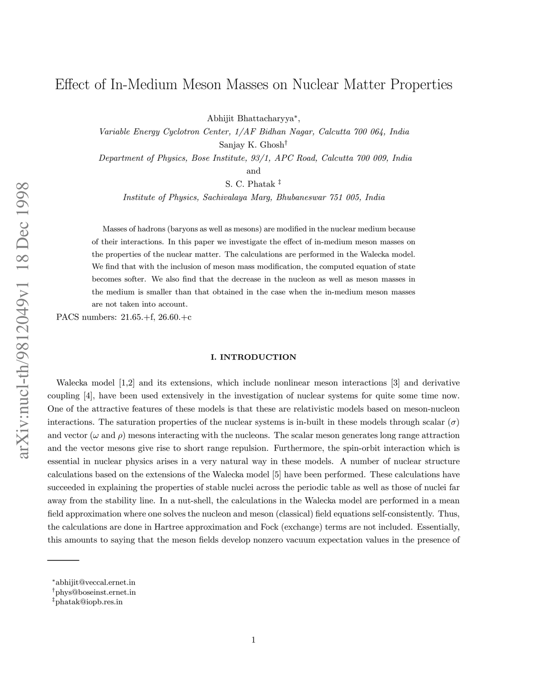# Effect of In-Medium Meson Masses on Nuclear Matter Propertie s

Abhijit Bhattacharyya ∗ ,

Variable Energy Cyclotron Center, 1/AF Bidhan Nagar, Calcutta 700 064, India Sanjay K. Ghosh †

Department of Physics, Bose Institute, 93/1, APC Road, Calcutta 700 009, India

and

S. C. Phatak ‡

Institute of Physics, Sachivalaya Marg, Bhubaneswar 751 005, India

Masses of hadrons (baryons as well as mesons) are modified in the nuclear medium because of their interactions. In this paper we investigate the effect of in-medium meson masses on the properties of the nuclear matter. The calculations are performed in the Walecka model. We find that with the inclusion of meson mass modification, the computed equation of state becomes softer. We also find that the decrease in the nucleon as well as meson masses in the medium is smaller than that obtained in the case when the in-medium meson masses are not taken into account.

PACS numbers: 21.65.+f, 26.60.+c

# I. INTRODUCTION

Walecka model [1,2] and its extensions, which include nonlinear meson interactions [3] and derivative coupling [4], have been used extensively in the investigation of nuclear systems for quite some time now. One of the attractive features of these models is that these are relativistic models based on meson-nucleon interactions. The saturation properties of the nuclear systems is in-built in these models through scalar  $(\sigma)$ and vector ( $\omega$  and  $\rho$ ) mesons interacting with the nucleons. The scalar meson generates long range attraction and the vector mesons give rise to short range repulsion. Furthermore, the spin-orbit interaction which is essential in nuclear physics arises in a very natural way in these models. A number of nuclear structure calculations based on the extensions of the Walecka model [5] have been performed. These calculations have succeeded in explaining the properties of stable nuclei across the periodic table as well as those of nuclei far away from the stability line. In a nut-shell, the calculations in the Walecka model are performed in a mean field approximation where one solves the nucleon and meson (classical) field equations self-consistently. Thus, the calculations are done in Hartree approximation and Fock (exchange) terms are not included. Essentially, this amounts to saying that the meson fields develop nonzero vacuum expectation values in the presence of

<sup>∗</sup> abhijit@veccal.ernet.in

<sup>†</sup> phys@boseinst.ernet.in

<sup>‡</sup> phatak@iopb.res.in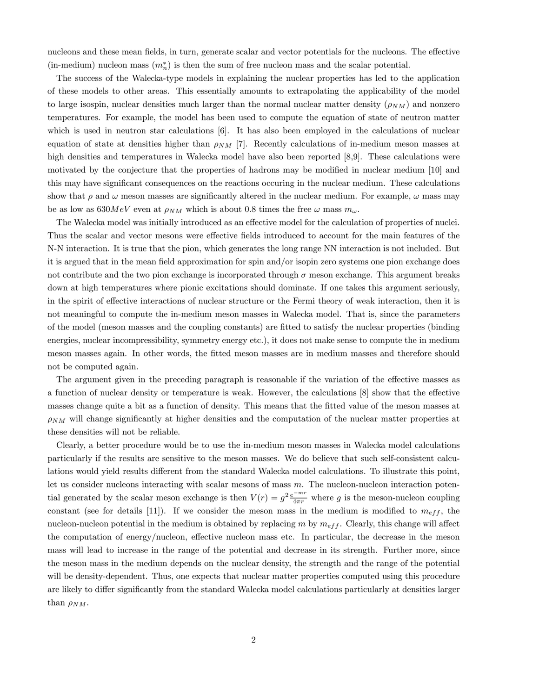nucleons and these mean fields, in turn, generate scalar and vector potentials for the nucleons. The effective (in-medium) nucleon mass  $(m_n^*)$  is then the sum of free nucleon mass and the scalar potential.

The success of the Walecka-type models in explaining the nuclear properties has led to the application of these models to other areas. This essentially amounts to extrapolating the applicability of the model to large isospin, nuclear densities much larger than the normal nuclear matter density  $(\rho_{NM})$  and nonzero temperatures. For example, the model has been used to compute the equation of state of neutron matter which is used in neutron star calculations  $[6]$ . It has also been employed in the calculations of nuclear equation of state at densities higher than  $\rho_{NM}$  [7]. Recently calculations of in-medium meson masses at high densities and temperatures in Walecka model have also been reported [8,9]. These calculations were motivated by the conjecture that the properties of hadrons may be modified in nuclear medium [10] and this may have significant consequences on the reactions occuring in the nuclear medium. These calculations show that  $\rho$  and  $\omega$  meson masses are significantly altered in the nuclear medium. For example,  $\omega$  mass may be as low as 630MeV even at  $\rho_{NM}$  which is about 0.8 times the free  $\omega$  mass  $m_{\omega}$ .

The Walecka model was initially introduced as an effective model for the calculation of properties of nuclei. Thus the scalar and vector mesons were effective fields introduced to account for the main features of the N-N interaction. It is true that the pion, which generates the long range NN interaction is not included. But it is argued that in the mean field approximation for spin and/or isopin zero systems one pion exchange does not contribute and the two pion exchange is incorporated through  $\sigma$  meson exchange. This argument breaks down at high temperatures where pionic excitations should dominate. If one takes this argument seriously, in the spirit of effective interactions of nuclear structure or the Fermi theory of weak interaction, then it is not meaningful to compute the in-medium meson masses in Walecka model. That is, since the parameters of the model (meson masses and the coupling constants) are fitted to satisfy the nuclear properties (binding energies, nuclear incompressibility, symmetry energy etc.), it does not make sense to compute the in medium meson masses again. In other words, the fitted meson masses are in medium masses and therefore should not be computed again.

The argument given in the preceding paragraph is reasonable if the variation of the effective masses as a function of nuclear density or temperature is weak. However, the calculations [8] show that the effective masses change quite a bit as a function of density. This means that the fitted value of the meson masses at  $\rho_{NM}$  will change significantly at higher densities and the computation of the nuclear matter properties at these densities will not be reliable.

Clearly, a better procedure would be to use the in-medium meson masses in Walecka model calculations particularly if the results are sensitive to the meson masses. We do believe that such self-consistent calculations would yield results different from the standard Walecka model calculations. To illustrate this point, let us consider nucleons interacting with scalar mesons of mass  $m$ . The nucleon-nucleon interaction potential generated by the scalar meson exchange is then  $V(r) = g^2 \frac{e^{-mr}}{4\pi r}$  where g is the meson-nucleon coupling constant (see for details [11]). If we consider the meson mass in the medium is modified to  $m_{eff}$ , the nucleon-nucleon potential in the medium is obtained by replacing m by  $m_{eff}$ . Clearly, this change will affect the computation of energy/nucleon, effective nucleon mass etc. In particular, the decrease in the meson mass will lead to increase in the range of the potential and decrease in its strength. Further more, since the meson mass in the medium depends on the nuclear density, the strength and the range of the potential will be density-dependent. Thus, one expects that nuclear matter properties computed using this procedure are likely to differ significantly from the standard Walecka model calculations particularly at densities larger than  $\rho_{NM}$ .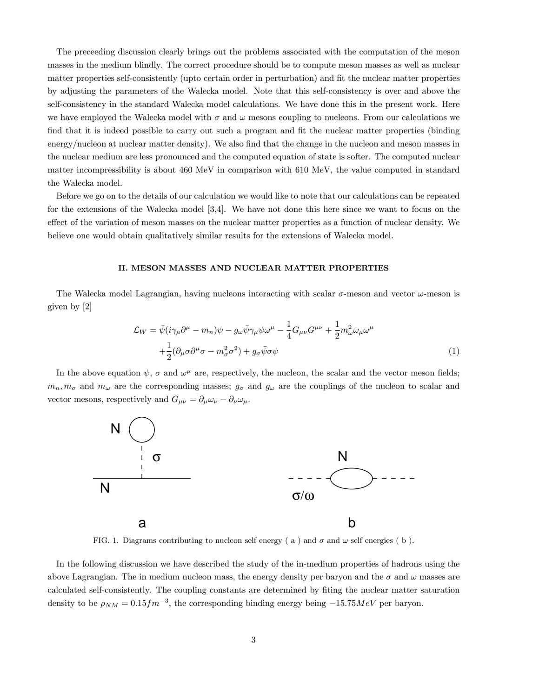The preceeding discussion clearly brings out the problems associated with the computation of the meson masses in the medium blindly. The correct procedure should be to compute meson masses as well as nuclear matter properties self-consistently (upto certain order in perturbation) and fit the nuclear matter properties by adjusting the parameters of the Walecka model. Note that this self-consistency is over and above the self-consistency in the standard Walecka model calculations. We have done this in the present work. Here we have employed the Walecka model with  $\sigma$  and  $\omega$  mesons coupling to nucleons. From our calculations we find that it is indeed possible to carry out such a program and fit the nuclear matter properties (binding energy/nucleon at nuclear matter density). We also find that the change in the nucleon and meson masses in the nuclear medium are less pronounced and the computed equation of state is softer. The computed nuclear matter incompressibility is about 460 MeV in comparison with 610 MeV, the value computed in standard the Walecka model.

Before we go on to the details of our calculation we would like to note that our calculations can be repeated for the extensions of the Walecka model [3,4]. We have not done this here since we want to focus on the effect of the variation of meson masses on the nuclear matter properties as a function of nuclear density. We believe one would obtain qualitatively similar results for the extensions of Walecka model.

### II. MESON MASSES AND NUCLEAR MATTER PROPERTIES

The Walecka model Lagrangian, having nucleons interacting with scalar  $\sigma$ -meson and vector  $\omega$ -meson is given by [2]

$$
\mathcal{L}_W = \bar{\psi}(i\gamma_\mu\partial^\mu - m_n)\psi - g_\omega\bar{\psi}\gamma_\mu\psi\omega^\mu - \frac{1}{4}G_{\mu\nu}G^{\mu\nu} + \frac{1}{2}m_\omega^2\omega_\mu\omega^\mu
$$

$$
+ \frac{1}{2}(\partial_\mu\sigma\partial^\mu\sigma - m_\sigma^2\sigma^2) + g_\sigma\bar{\psi}\sigma\psi
$$
(1)

In the above equation  $\psi$ ,  $\sigma$  and  $\omega^{\mu}$  are, respectively, the nucleon, the scalar and the vector meson fields;  $m_n, m_\sigma$  and  $m_\omega$  are the corresponding masses;  $g_\sigma$  and  $g_\omega$  are the couplings of the nucleon to scalar and vector mesons, respectively and  $G_{\mu\nu} = \partial_{\mu}\omega_{\nu} - \partial_{\nu}\omega_{\mu}$ .



FIG. 1. Diagrams contributing to nucleon self energy (a) and  $\sigma$  and  $\omega$  self energies (b).

In the following discussion we have described the study of the in-medium properties of hadrons using the above Lagrangian. The in medium nucleon mass, the energy density per baryon and the  $\sigma$  and  $\omega$  masses are calculated self-consistently. The coupling constants are determined by fiting the nuclear matter saturation density to be  $\rho_{NM} = 0.15 fm^{-3}$ , the corresponding binding energy being  $-15.75 MeV$  per baryon.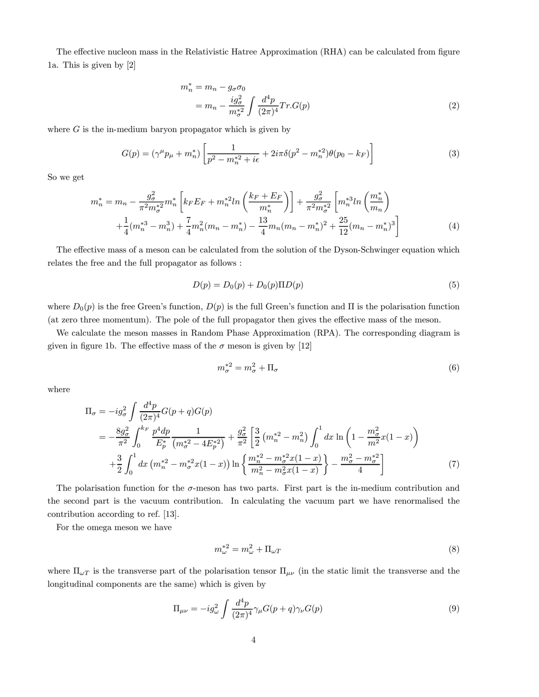The effective nucleon mass in the Relativistic Hatree Approximation (RHA) can be calculated from figure 1a. This is given by [2]

$$
m_n^* = m_n - g_\sigma \sigma_0
$$
  
= 
$$
m_n - \frac{ig_\sigma^2}{m_\sigma^{*2}} \int \frac{d^4p}{(2\pi)^4} Tr.G(p)
$$
 (2)

where  $G$  is the in-medium baryon propagator which is given by

$$
G(p) = (\gamma^{\mu} p_{\mu} + m_n^*) \left[ \frac{1}{p^2 - m_n^{*2} + i\epsilon} + 2i\pi \delta(p^2 - m_n^{*2}) \theta(p_0 - k_F) \right]
$$
(3)

So we get

$$
m_n^* = m_n - \frac{g_\sigma^2}{\pi^2 m_\sigma^*^2} m_n^* \left[ k_F E_F + m_n^{*2} ln\left(\frac{k_F + E_F}{m_n^*}\right) \right] + \frac{g_\sigma^2}{\pi^2 m_\sigma^*^2} \left[ m_n^{*3} ln\left(\frac{m_n^*}{m_n}\right) + \frac{1}{4} (m_n^{*3} - m_n^3) + \frac{7}{4} m_n^2 (m_n - m_n^*) - \frac{13}{4} m_n (m_n - m_n^*)^2 + \frac{25}{12} (m_n - m_n^*)^3 \right] \tag{4}
$$

The effective mass of a meson can be calculated from the solution of the Dyson-Schwinger equation which relates the free and the full propagator as follows :

$$
D(p) = D_0(p) + D_0(p)\Pi D(p)
$$
\n(5)

where  $D_0(p)$  is the free Green's function,  $D(p)$  is the full Green's function and Π is the polarisation function (at zero three momentum). The pole of the full propagator then gives the effective mass of the meson.

We calculate the meson masses in Random Phase Approximation (RPA). The corresponding diagram is given in figure 1b. The effective mass of the  $\sigma$  meson is given by [12]

$$
m_{\sigma}^{*2} = m_{\sigma}^2 + \Pi_{\sigma} \tag{6}
$$

where

$$
\Pi_{\sigma} = -ig_{\sigma}^{2} \int \frac{d^{4}p}{(2\pi)^{4}} G(p+q)G(p)
$$
\n
$$
= -\frac{8g_{\sigma}^{2}}{\pi^{2}} \int_{0}^{k_{F}} \frac{p^{4}dp}{E_{p}^{*}} \frac{1}{(m_{\sigma}^{*2} - 4E_{p}^{*2})} + \frac{g_{\sigma}^{2}}{\pi^{2}} \left[ \frac{3}{2} (m_{n}^{*2} - m_{n}^{2}) \int_{0}^{1} dx \ln\left(1 - \frac{m_{\sigma}^{2}}{m^{2}} x(1-x)\right) \right.
$$
\n
$$
+ \frac{3}{2} \int_{0}^{1} dx \left(m_{n}^{*2} - m_{\sigma}^{*2} x(1-x)\right) \ln\left\{\frac{m_{n}^{*2} - m_{\sigma}^{*2} x(1-x)}{m_{n}^{2} - m_{\sigma}^{2} x(1-x)}\right\} - \frac{m_{\sigma}^{2} - m_{\sigma}^{*2}}{4} \right]
$$
\n(7)

The polarisation function for the  $\sigma$ -meson has two parts. First part is the in-medium contribution and the second part is the vacuum contribution. In calculating the vacuum part we have renormalised the contribution according to ref. [13].

For the omega meson we have

$$
m_{\omega}^{*2} = m_{\omega}^2 + \Pi_{\omega T} \tag{8}
$$

where  $\Pi_{\omega T}$  is the transverse part of the polarisation tensor  $\Pi_{\mu\nu}$  (in the static limit the transverse and the longitudinal components are the same) which is given by

$$
\Pi_{\mu\nu} = -ig_{\omega}^2 \int \frac{d^4p}{(2\pi)^4} \gamma_{\mu} G(p+q) \gamma_{\nu} G(p) \tag{9}
$$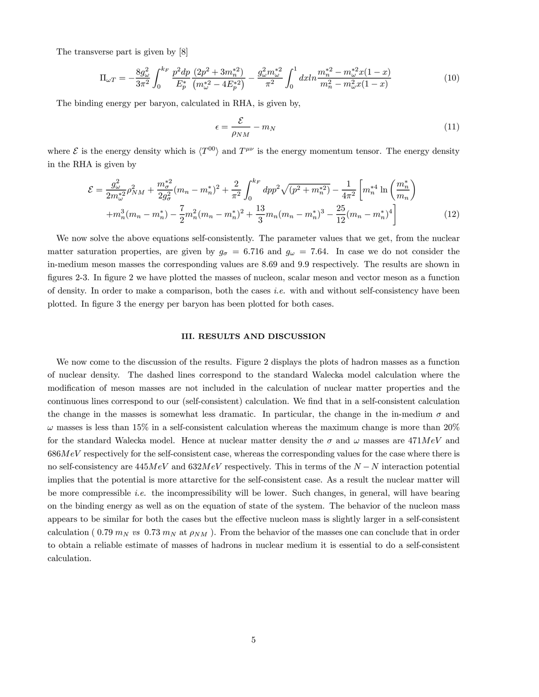The transverse part is given by [8]

$$
\Pi_{\omega T} = -\frac{8g_{\omega}^2}{3\pi^2} \int_0^{k_F} \frac{p^2 dp}{E_p^*} \frac{(2p^2 + 3m_n^{*2})}{(m_{\omega}^{*2} - 4E_p^{*2})} - \frac{g_{\omega}^2 m_{\omega}^{*2}}{\pi^2} \int_0^1 dx ln \frac{m_n^{*2} - m_{\omega}^{*2} x (1 - x)}{m_n^2 - m_{\omega}^2 x (1 - x)} \tag{10}
$$

The binding energy per baryon, calculated in RHA, is given by,

$$
\epsilon = \frac{\mathcal{E}}{\rho_{NM}} - m_N \tag{11}
$$

where  $\mathcal E$  is the energy density which is  $\langle T^{00} \rangle$  and  $T^{\mu\nu}$  is the energy momentum tensor. The energy density in the RHA is given by

$$
\mathcal{E} = \frac{g_{\omega}^2}{2m_{\omega}^{*2}} \rho_{NM}^2 + \frac{m_{\sigma}^{*2}}{2g_{\sigma}^2} (m_n - m_n^*)^2 + \frac{2}{\pi^2} \int_0^{k_F} dp p^2 \sqrt{(p^2 + m_n^{*2})} - \frac{1}{4\pi^2} \left[ m_n^{*4} \ln \left( \frac{m_n^*}{m_n} \right) + m_n^3 (m_n - m_n^*) - \frac{7}{2} m_n^2 (m_n - m_n^*)^2 + \frac{13}{3} m_n (m_n - m_n^*)^3 - \frac{25}{12} (m_n - m_n^*)^4 \right] \tag{12}
$$

We now solve the above equations self-consistently. The parameter values that we get, from the nuclear matter saturation properties, are given by  $g_{\sigma} = 6.716$  and  $g_{\omega} = 7.64$ . In case we do not consider the in-medium meson masses the corresponding values are 8.69 and 9.9 respectively. The results are shown in figures 2-3. In figure 2 we have plotted the masses of nucleon, scalar meson and vector meson as a function of density. In order to make a comparison, both the cases i.e. with and without self-consistency have been plotted. In figure 3 the energy per baryon has been plotted for both cases.

#### III. RESULTS AND DISCUSSION

We now come to the discussion of the results. Figure 2 displays the plots of hadron masses as a function of nuclear density. The dashed lines correspond to the standard Walecka model calculation where the modification of meson masses are not included in the calculation of nuclear matter properties and the continuous lines correspond to our (self-consistent) calculation. We find that in a self-consistent calculation the change in the masses is somewhat less dramatic. In particular, the change in the in-medium  $\sigma$  and  $\omega$  masses is less than 15% in a self-consistent calculation whereas the maximum change is more than 20% for the standard Walecka model. Hence at nuclear matter density the  $\sigma$  and  $\omega$  masses are 471MeV and  $686MeV$  respectively for the self-consistent case, whereas the corresponding values for the case where there is no self-consistency are  $445MeV$  and  $632MeV$  respectively. This in terms of the  $N - N$  interaction potential implies that the potential is more attarctive for the self-consistent case. As a result the nuclear matter will be more compressible i.e. the incompressibility will be lower. Such changes, in general, will have bearing on the binding energy as well as on the equation of state of the system. The behavior of the nucleon mass appears to be similar for both the cases but the effective nucleon mass is slightly larger in a self-consistent calculation (0.79  $m_N$  vs 0.73  $m_N$  at  $\rho_{NM}$ ). From the behavior of the masses one can conclude that in order to obtain a reliable estimate of masses of hadrons in nuclear medium it is essential to do a self-consistent calculation.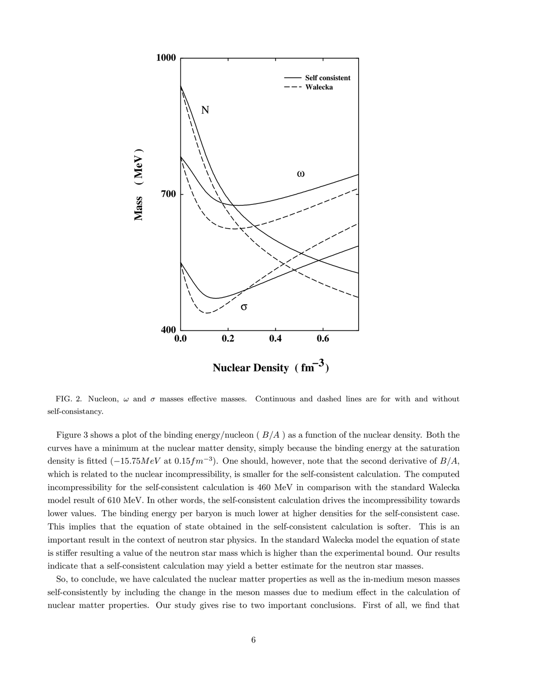

FIG. 2. Nucleon,  $\omega$  and  $\sigma$  masses effective masses. Continuous and dashed lines are for with and without self-consistancy.

Figure 3 shows a plot of the binding energy/nucleon ( $B/A$ ) as a function of the nuclear density. Both the curves have a minimum at the nuclear matter density, simply because the binding energy at the saturation density is fitted  $(-15.75MeV$  at  $0.15fm^{-3}$ ). One should, however, note that the second derivative of  $B/A$ , which is related to the nuclear incompressibility, is smaller for the self-consistent calculation. The computed incompressibility for the self-consistent calculation is 460 MeV in comparison with the standard Walecka model result of 610 MeV. In other words, the self-consistent calculation drives the incompressibility towards lower values. The binding energy per baryon is much lower at higher densities for the self-consistent case. This implies that the equation of state obtained in the self-consistent calculation is softer. This is an important result in the context of neutron star physics. In the standard Walecka model the equation of state is stiffer resulting a value of the neutron star mass which is higher than the experimental bound. Our results indicate that a self-consistent calculation may yield a better estimate for the neutron star masses.

So, to conclude, we have calculated the nuclear matter properties as well as the in-medium meson masses self-consistently by including the change in the meson masses due to medium effect in the calculation of nuclear matter properties. Our study gives rise to two important conclusions. First of all, we find that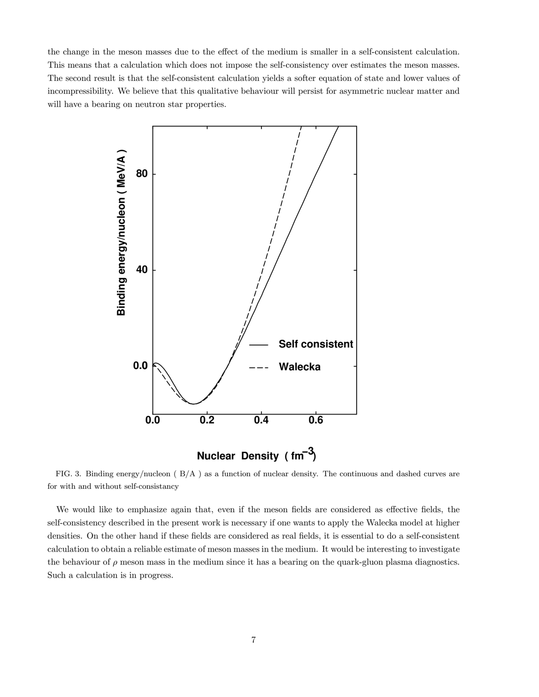the change in the meson masses due to the effect of the medium is smaller in a self-consistent calculation. This means that a calculation which does not impose the self-consistency over estimates the meson masses. The second result is that the self-consistent calculation yields a softer equation of state and lower values of incompressibility. We believe that this qualitative behaviour will persist for asymmetric nuclear matter and will have a bearing on neutron star properties.



FIG. 3. Binding energy/nucleon ( B/A ) as a function of nuclear density. The continuous and dashed curves are for with and without self-consistancy

We would like to emphasize again that, even if the meson fields are considered as effective fields, the self-consistency described in the present work is necessary if one wants to apply the Walecka model at higher densities. On the other hand if these fields are considered as real fields, it is essential to do a self-consistent calculation to obtain a reliable estimate of meson masses in the medium. It would be interesting to investigate the behaviour of  $\rho$  meson mass in the medium since it has a bearing on the quark-gluon plasma diagnostics. Such a calculation is in progress.